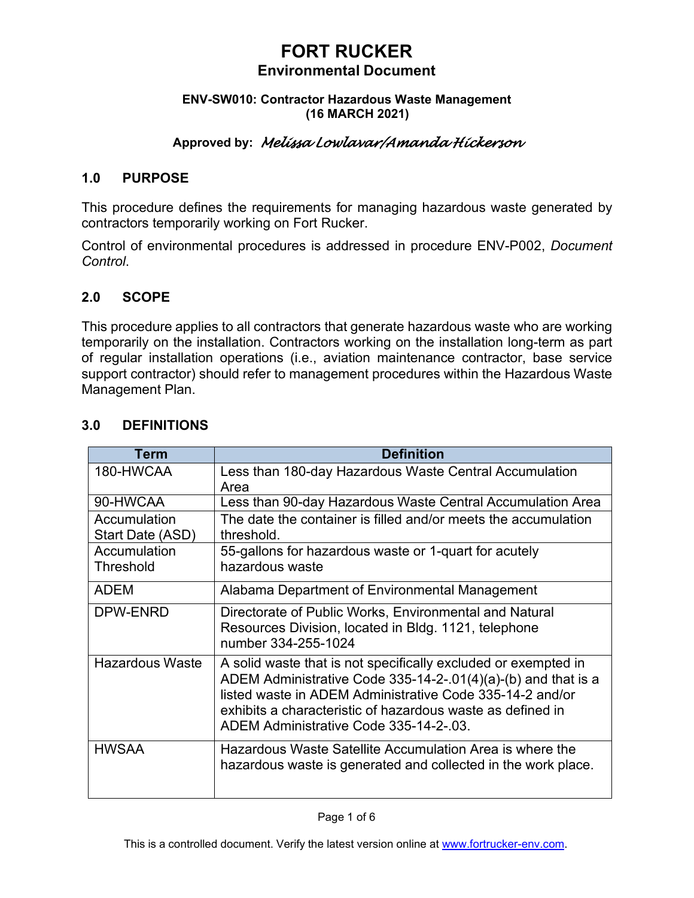#### **ENV-SW010: Contractor Hazardous Waste Management (16 MARCH 2021)**

## **Approved by:** *Melissa Lowlavar/Amanda Hickerson*

### **1.0 PURPOSE**

This procedure defines the requirements for managing hazardous waste generated by contractors temporarily working on Fort Rucker.

Control of environmental procedures is addressed in procedure ENV-P002, *Document Control*.

### **2.0 SCOPE**

This procedure applies to all contractors that generate hazardous waste who are working temporarily on the installation. Contractors working on the installation long-term as part of regular installation operations (i.e., aviation maintenance contractor, base service support contractor) should refer to management procedures within the Hazardous Waste Management Plan.

| Term                             | <b>Definition</b>                                                                                                                                                                                                                                                                                   |
|----------------------------------|-----------------------------------------------------------------------------------------------------------------------------------------------------------------------------------------------------------------------------------------------------------------------------------------------------|
| 180-HWCAA                        | Less than 180-day Hazardous Waste Central Accumulation<br>Area                                                                                                                                                                                                                                      |
| 90-HWCAA                         | Less than 90-day Hazardous Waste Central Accumulation Area                                                                                                                                                                                                                                          |
| Accumulation<br>Start Date (ASD) | The date the container is filled and/or meets the accumulation<br>threshold.                                                                                                                                                                                                                        |
| Accumulation<br>Threshold        | 55-gallons for hazardous waste or 1-quart for acutely<br>hazardous waste                                                                                                                                                                                                                            |
| <b>ADEM</b>                      | Alabama Department of Environmental Management                                                                                                                                                                                                                                                      |
| DPW-ENRD                         | Directorate of Public Works, Environmental and Natural<br>Resources Division, located in Bldg. 1121, telephone<br>number 334-255-1024                                                                                                                                                               |
| <b>Hazardous Waste</b>           | A solid waste that is not specifically excluded or exempted in<br>ADEM Administrative Code 335-14-2-.01(4)(a)-(b) and that is a<br>listed waste in ADEM Administrative Code 335-14-2 and/or<br>exhibits a characteristic of hazardous waste as defined in<br>ADEM Administrative Code 335-14-2-.03. |
| <b>HWSAA</b>                     | Hazardous Waste Satellite Accumulation Area is where the<br>hazardous waste is generated and collected in the work place.                                                                                                                                                                           |

## **3.0 DEFINITIONS**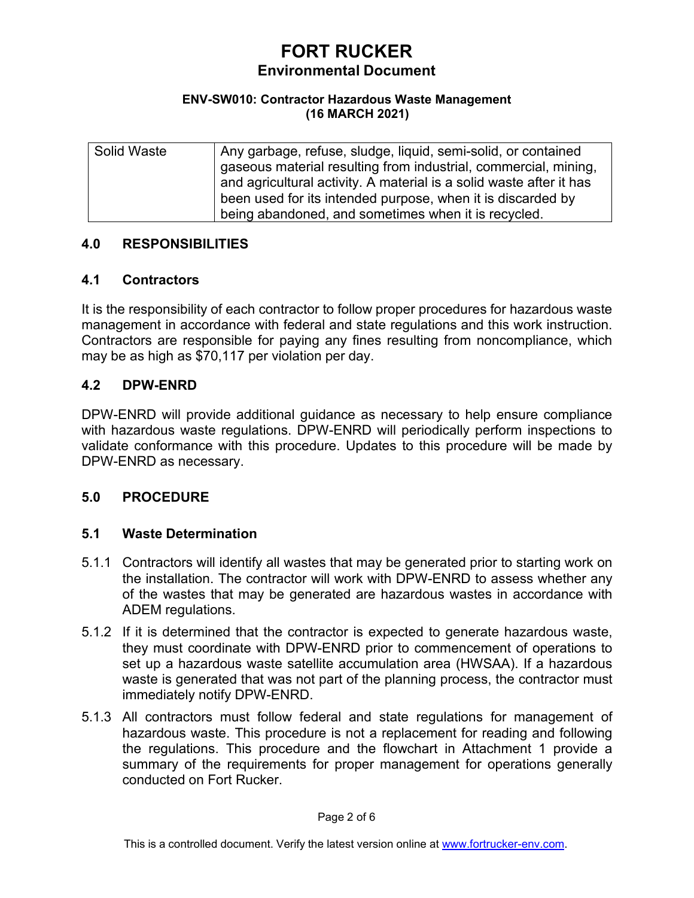#### **ENV-SW010: Contractor Hazardous Waste Management (16 MARCH 2021)**

| Solid Waste | Any garbage, refuse, sludge, liquid, semi-solid, or contained       |
|-------------|---------------------------------------------------------------------|
|             | gaseous material resulting from industrial, commercial, mining,     |
|             | and agricultural activity. A material is a solid waste after it has |
|             | been used for its intended purpose, when it is discarded by         |
|             | being abandoned, and sometimes when it is recycled.                 |

### **4.0 RESPONSIBILITIES**

#### **4.1 Contractors**

It is the responsibility of each contractor to follow proper procedures for hazardous waste management in accordance with federal and state regulations and this work instruction. Contractors are responsible for paying any fines resulting from noncompliance, which may be as high as \$70,117 per violation per day.

### **4.2 DPW-ENRD**

DPW-ENRD will provide additional guidance as necessary to help ensure compliance with hazardous waste regulations. DPW-ENRD will periodically perform inspections to validate conformance with this procedure. Updates to this procedure will be made by DPW-ENRD as necessary.

### **5.0 PROCEDURE**

### **5.1 Waste Determination**

- 5.1.1 Contractors will identify all wastes that may be generated prior to starting work on the installation. The contractor will work with DPW-ENRD to assess whether any of the wastes that may be generated are hazardous wastes in accordance with ADEM regulations.
- 5.1.2 If it is determined that the contractor is expected to generate hazardous waste, they must coordinate with DPW-ENRD prior to commencement of operations to set up a hazardous waste satellite accumulation area (HWSAA). If a hazardous waste is generated that was not part of the planning process, the contractor must immediately notify DPW-ENRD.
- 5.1.3 All contractors must follow federal and state regulations for management of hazardous waste. This procedure is not a replacement for reading and following the regulations. This procedure and the flowchart in Attachment 1 provide a summary of the requirements for proper management for operations generally conducted on Fort Rucker.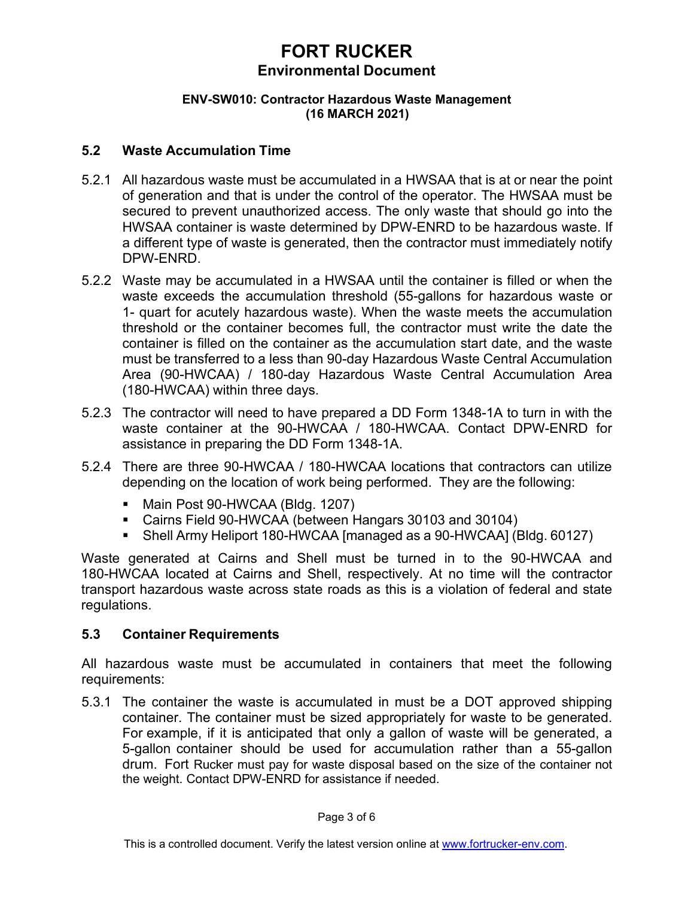#### **ENV-SW010: Contractor Hazardous Waste Management (16 MARCH 2021)**

### **5.2 Waste Accumulation Time**

- 5.2.1 All hazardous waste must be accumulated in a HWSAA that is at or near the point of generation and that is under the control of the operator. The HWSAA must be secured to prevent unauthorized access. The only waste that should go into the HWSAA container is waste determined by DPW-ENRD to be hazardous waste. If a different type of waste is generated, then the contractor must immediately notify DPW-ENRD.
- 5.2.2 Waste may be accumulated in a HWSAA until the container is filled or when the waste exceeds the accumulation threshold (55-gallons for hazardous waste or 1- quart for acutely hazardous waste). When the waste meets the accumulation threshold or the container becomes full, the contractor must write the date the container is filled on the container as the accumulation start date, and the waste must be transferred to a less than 90-day Hazardous Waste Central Accumulation Area (90-HWCAA) / 180-day Hazardous Waste Central Accumulation Area (180-HWCAA) within three days.
- 5.2.3 The contractor will need to have prepared a DD Form 1348-1A to turn in with the waste container at the 90-HWCAA / 180-HWCAA. Contact DPW-ENRD for assistance in preparing the DD Form 1348-1A.
- 5.2.4 There are three 90-HWCAA / 180-HWCAA locations that contractors can utilize depending on the location of work being performed. They are the following:
	- Main Post 90-HWCAA (Bldg. 1207)
	- Cairns Field 90-HWCAA (between Hangars 30103 and 30104)
	- Shell Army Heliport 180-HWCAA [managed as a 90-HWCAA] (Bldg. 60127)

Waste generated at Cairns and Shell must be turned in to the 90-HWCAA and 180-HWCAA located at Cairns and Shell, respectively. At no time will the contractor transport hazardous waste across state roads as this is a violation of federal and state regulations.

## **5.3 Container Requirements**

All hazardous waste must be accumulated in containers that meet the following requirements:

5.3.1 The container the waste is accumulated in must be a DOT approved shipping container. The container must be sized appropriately for waste to be generated. For example, if it is anticipated that only a gallon of waste will be generated, a 5-gallon container should be used for accumulation rather than a 55-gallon drum. Fort Rucker must pay for waste disposal based on the size of the container not the weight. Contact DPW-ENRD for assistance if needed.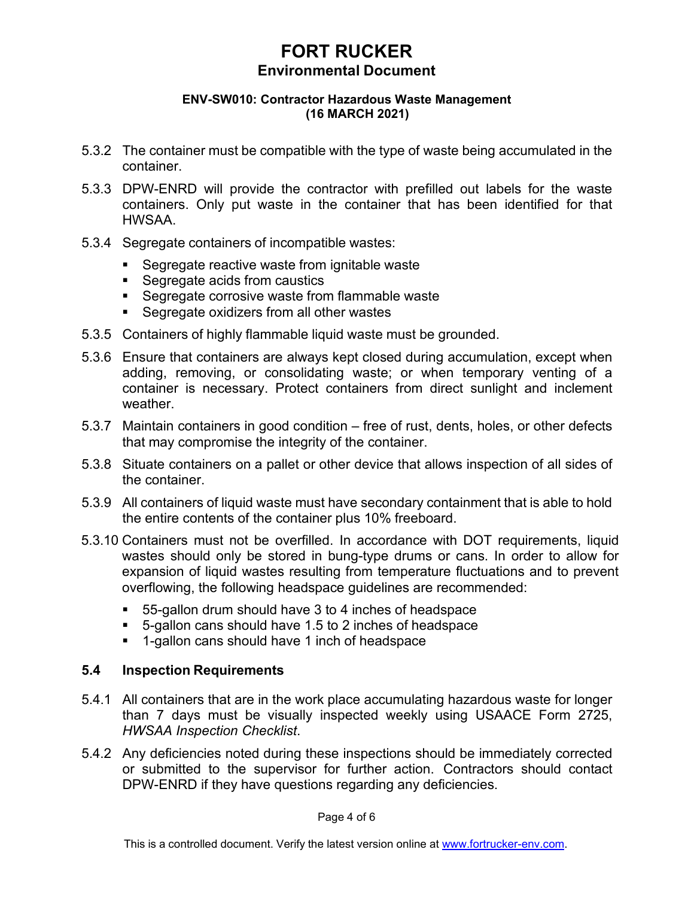#### **ENV-SW010: Contractor Hazardous Waste Management (16 MARCH 2021)**

- 5.3.2 The container must be compatible with the type of waste being accumulated in the container.
- 5.3.3 DPW-ENRD will provide the contractor with prefilled out labels for the waste containers. Only put waste in the container that has been identified for that HWSAA.
- 5.3.4 Segregate containers of incompatible wastes:
	- **Segregate reactive waste from ignitable waste**
	- **Segregate acids from caustics**
	- **Segregate corrosive waste from flammable waste**
	- **Segregate oxidizers from all other wastes**
- 5.3.5 Containers of highly flammable liquid waste must be grounded.
- 5.3.6 Ensure that containers are always kept closed during accumulation, except when adding, removing, or consolidating waste; or when temporary venting of a container is necessary. Protect containers from direct sunlight and inclement weather.
- 5.3.7 Maintain containers in good condition free of rust, dents, holes, or other defects that may compromise the integrity of the container.
- 5.3.8 Situate containers on a pallet or other device that allows inspection of all sides of the container.
- 5.3.9 All containers of liquid waste must have secondary containment that is able to hold the entire contents of the container plus 10% freeboard.
- 5.3.10 Containers must not be overfilled. In accordance with DOT requirements, liquid wastes should only be stored in bung-type drums or cans. In order to allow for expansion of liquid wastes resulting from temperature fluctuations and to prevent overflowing, the following headspace guidelines are recommended:
	- 55-gallon drum should have 3 to 4 inches of headspace
	- 5-gallon cans should have 1.5 to 2 inches of headspace
	- 1-gallon cans should have 1 inch of headspace

#### **5.4 Inspection Requirements**

- 5.4.1 All containers that are in the work place accumulating hazardous waste for longer than 7 days must be visually inspected weekly using USAACE Form 2725, *HWSAA Inspection Checklist*.
- 5.4.2 Any deficiencies noted during these inspections should be immediately corrected or submitted to the supervisor for further action. Contractors should contact DPW-ENRD if they have questions regarding any deficiencies.

Page 4 of 6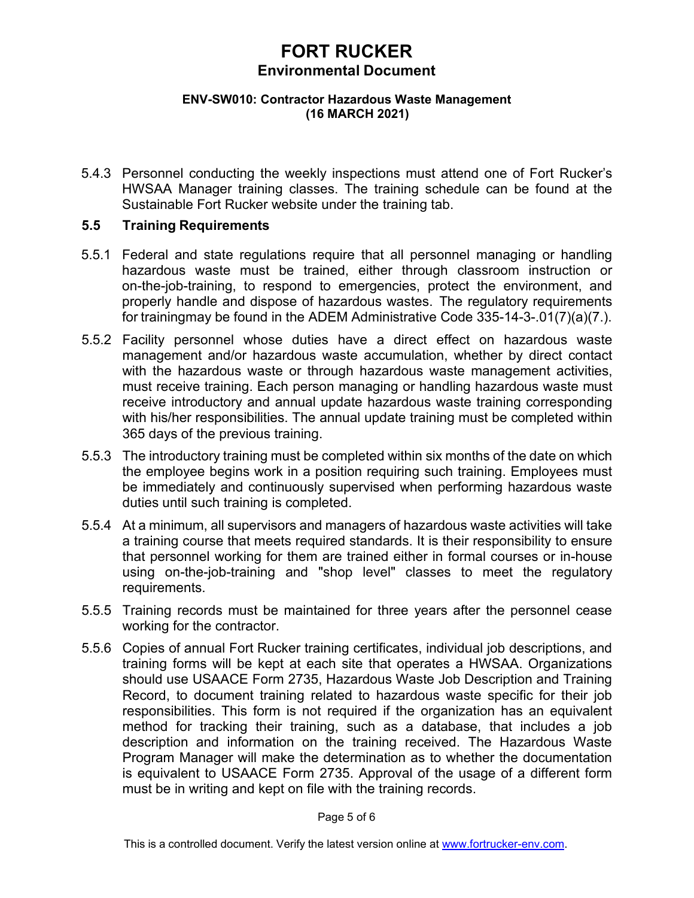#### **ENV-SW010: Contractor Hazardous Waste Management (16 MARCH 2021)**

5.4.3 Personnel conducting the weekly inspections must attend one of Fort Rucker's HWSAA Manager training classes. The training schedule can be found at the Sustainable Fort Rucker website under the training tab.

### **5.5 Training Requirements**

- 5.5.1 Federal and state regulations require that all personnel managing or handling hazardous waste must be trained, either through classroom instruction or on-the-job-training, to respond to emergencies, protect the environment, and properly handle and dispose of hazardous wastes. The regulatory requirements for trainingmay be found in the ADEM Administrative Code 335-14-3-.01(7)(a)(7.).
- 5.5.2 Facility personnel whose duties have a direct effect on hazardous waste management and/or hazardous waste accumulation, whether by direct contact with the hazardous waste or through hazardous waste management activities, must receive training. Each person managing or handling hazardous waste must receive introductory and annual update hazardous waste training corresponding with his/her responsibilities. The annual update training must be completed within 365 days of the previous training.
- 5.5.3 The introductory training must be completed within six months of the date on which the employee begins work in a position requiring such training. Employees must be immediately and continuously supervised when performing hazardous waste duties until such training is completed.
- 5.5.4 At a minimum, all supervisors and managers of hazardous waste activities will take a training course that meets required standards. It is their responsibility to ensure that personnel working for them are trained either in formal courses or in-house using on-the-job-training and "shop level" classes to meet the regulatory requirements.
- 5.5.5 Training records must be maintained for three years after the personnel cease working for the contractor.
- 5.5.6 Copies of annual Fort Rucker training certificates, individual job descriptions, and training forms will be kept at each site that operates a HWSAA. Organizations should use USAACE Form 2735, Hazardous Waste Job Description and Training Record, to document training related to hazardous waste specific for their job responsibilities. This form is not required if the organization has an equivalent method for tracking their training, such as a database, that includes a job description and information on the training received. The Hazardous Waste Program Manager will make the determination as to whether the documentation is equivalent to USAACE Form 2735. Approval of the usage of a different form must be in writing and kept on file with the training records.